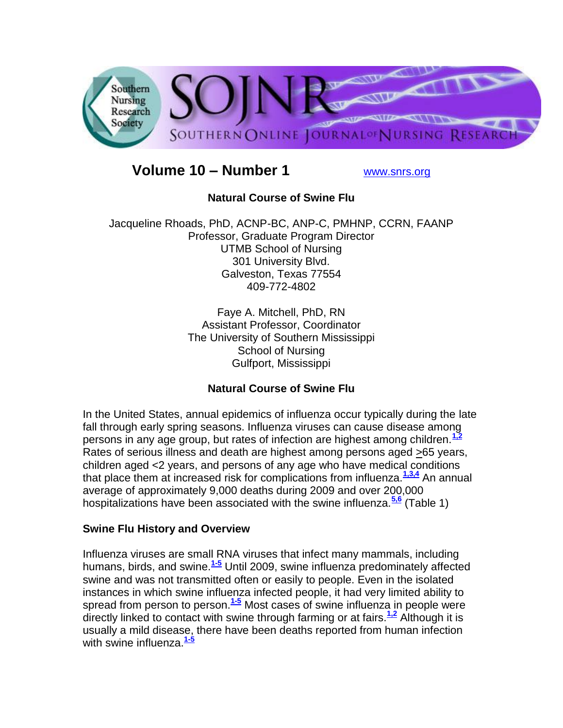

# **Volume 10 – Number 1** [www.snrs.org](http://www.snrs.org/)

# **Natural Course of Swine Flu**

Jacqueline Rhoads, PhD, ACNP-BC, ANP-C, PMHNP, CCRN, FAANP Professor, Graduate Program Director UTMB School of Nursing 301 University Blvd. Galveston, Texas 77554 409-772-4802

> Faye A. Mitchell, PhD, RN Assistant Professor, Coordinator The University of Southern Mississippi School of Nursing Gulfport, Mississippi

# **Natural Course of Swine Flu**

In the United States, annual epidemics of influenza occur typically during the late fall through early spring seasons. Influenza viruses can cause disease among persons in any age group, but rates of infection are highest among children.**[1,2](http://snrs.org/publications/SOJNR_articles2/n)** Rates of serious illness and death are highest among persons aged >65 years, children aged <2 years, and persons of any age who have medical conditions that place them at increased risk for complications from influenza.**[1,3,4](http://snrs.org/publications/SOJNR_articles2/n)** An annual average of approximately 9,000 deaths during 2009 and over 200,000 hospitalizations have been associated with the swine influenza.**[5,6](http://snrs.org/publications/SOJNR_articles2/n)** (Table 1)

# **Swine Flu History and Overview**

Influenza viruses are small RNA viruses that infect many mammals, including humans, birds, and swine.**[1-5](http://snrs.org/publications/SOJNR_articles2/n)** Until 2009, swine influenza predominately affected swine and was not transmitted often or easily to people. Even in the isolated instances in which swine influenza infected people, it had very limited ability to spread from person to person.**[1-5](http://snrs.org/publications/SOJNR_articles2/n)** Most cases of swine influenza in people were directly linked to contact with swine through farming or at fairs.**[1,2](http://snrs.org/publications/SOJNR_articles2/n)** Although it is usually a mild disease, there have been deaths reported from human infection with swine influenza.**[1-5](http://snrs.org/publications/SOJNR_articles2/n)**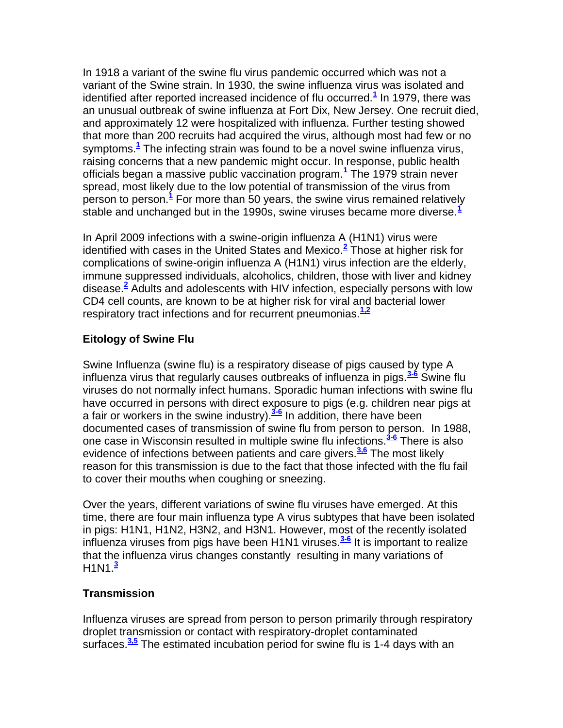In 1918 a variant of the swine flu virus pandemic occurred which was not a variant of the Swine strain. In 1930, the swine influenza virus was isolated and identified after reported increased incidence of flu occurred[.](http://snrs.org/publications/SOJNR_articles2/n)**<sup>1</sup>** In 1979, there was an unusual outbreak of swine influenza at Fort Dix, New Jersey. One recruit died, and approximately 12 were hospitalized with influenza. Further testing showed that more than 200 recruits had acquired the virus, although most had few or no symptoms.**[1](http://snrs.org/publications/SOJNR_articles2/n)** The infecting strain was found to be a novel swine influenza virus, raising concerns that a new pandemic might occur. In response, public health officials began a massive public vaccination program.**[1](http://snrs.org/publications/SOJNR_articles2/n)** The 1979 strain never spread, most likely due to the low potential of transmission of the virus from person to person.**[1](http://snrs.org/publications/SOJNR_articles2/n)** For more than 50 years, the swine virus remained relatively stable and unchanged but in the 1990s, swine viruses became more diverse.**[1](http://snrs.org/publications/SOJNR_articles2/n)**

In April 2009 infections with a swine-origin influenza A (H1N1) virus were identified with cases in the United States and Mexico.**[2](http://snrs.org/publications/SOJNR_articles2/n)** Those at higher risk for complications of swine-origin influenza A (H1N1) virus infection are the elderly, immune suppressed individuals, alcoholics, children, those with liver and kidney disease[.](http://snrs.org/publications/SOJNR_articles2/n)**<sup>2</sup>** Adults and adolescents with HIV infection, especially persons with low CD4 cell counts, are known to be at higher risk for viral and bacterial lower respiratory tract infections and for recurrent pneumonias.<sup>[1,2](http://snrs.org/publications/SOJNR_articles2/n)</sup>

# **Eitology of Swine Flu**

Swine Influenza (swine flu) is a respiratory disease of pigs caused by type A influenza virus that regularly causes outbreaks of influenza in pigs.**[3-6](http://snrs.org/publications/SOJNR_articles2/n)** Swine flu viruses do not normally infect humans. Sporadic human infections with swine flu have occurred in persons with direct exposure to pigs (e.g. children near pigs at a fair or workers in the swine industry).**[3-6](http://snrs.org/publications/SOJNR_articles2/n)** In addition, there have been documented cases of transmission of swine flu from person to person. In 1988, one case in Wisconsin resulted in multiple swine flu infections.**[3-6](http://snrs.org/publications/SOJNR_articles2/n)** There is also evidence of infections between patients and care givers.**[3,6](http://snrs.org/publications/SOJNR_articles2/n)** The most likely reason for this transmission is due to the fact that those infected with the flu fail to cover their mouths when coughing or sneezing.

Over the years, different variations of swine flu viruses have emerged. At this time, there are four main influenza type A virus subtypes that have been isolated in pigs: H1N1, H1N2, H3N2, and H3N1. However, most of the recently isolated influenza viruses from pigs have been H1N1 viruses.**[3-6](http://snrs.org/publications/SOJNR_articles2/n)** It is important to realize that the influenza virus changes constantly resulting in many variations of H1N1.**[3](http://snrs.org/publications/SOJNR_articles2/n)**

# **Transmission**

Influenza viruses are spread from person to person primarily through respiratory droplet transmission or contact with respiratory-droplet contaminated surfaces.**[3,5](http://snrs.org/publications/SOJNR_articles2/n)** The estimated incubation period for swine flu is 1-4 days with an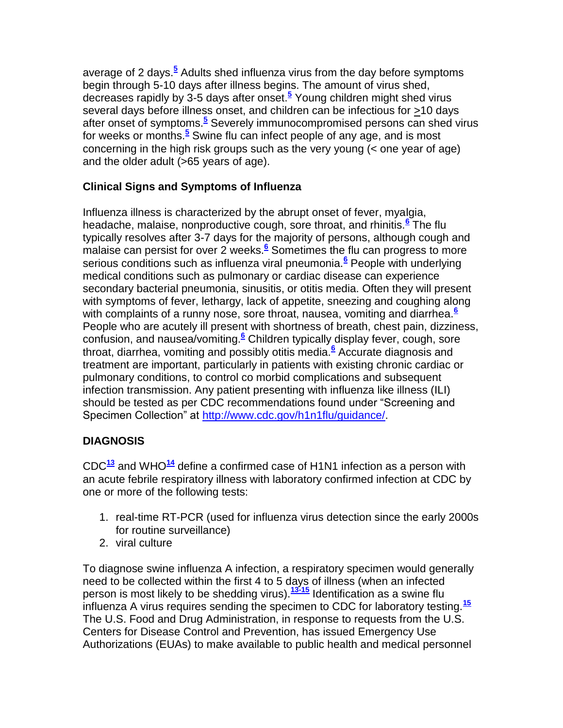average of 2 days[.](http://snrs.org/publications/SOJNR_articles2/n)**<sup>5</sup>** Adults shed influenza virus from the day before symptoms begin through 5-10 days after illness begins. The amount of virus shed, decreases rapidly by 3-5 days after onset.**[5](http://snrs.org/publications/SOJNR_articles2/n)** Young children might shed virus several days before illness onset, and children can be infectious for >10 days after onset of symptoms.**[5](http://snrs.org/publications/SOJNR_articles2/n)** Severely immunocompromised persons can shed virus for weeks or months.**[5](http://snrs.org/publications/SOJNR_articles2/n)** Swine flu can infect people of any age, and is most concerning in the high risk groups such as the very young (< one year of age) and the older adult (>65 years of age).

# **Clinical Signs and Symptoms of Influenza**

Influenza illness is characterized by the abrupt onset of fever, myalgia, headache, malaise, nonproductive cough, sore throat, and rhinitis.**[6](http://snrs.org/publications/SOJNR_articles2/n)** The flu typically resolves after 3-7 days for the majority of persons, although cough and malaise can persist for over 2 weeks.<sup>[6](http://snrs.org/publications/SOJNR_articles2/n)</sup> Sometimes the flu can progress to more serious conditions such as influenza viral pneumonia.**[6](http://snrs.org/publications/SOJNR_articles2/n)** People with underlying medical conditions such as pulmonary or cardiac disease can experience secondary bacterial pneumonia, sinusitis, or otitis media. Often they will present with symptoms of fever, lethargy, lack of appetite, sneezing and coughing along with complaints of a runny nose, sore throat, nausea, vomiting and diarrhea.**[6](http://snrs.org/publications/SOJNR_articles2/n)** People who are acutely ill present with shortness of breath, chest pain, dizziness, confusion, and nausea/vomiting.**[6](http://snrs.org/publications/SOJNR_articles2/n)** Children typically display fever, cough, sore throat, diarrhea, vomiting and possibly otitis media.**[6](http://snrs.org/publications/SOJNR_articles2/n)** Accurate diagnosis and treatment are important, particularly in patients with existing chronic cardiac or pulmonary conditions, to control co morbid complications and subsequent infection transmission. Any patient presenting with influenza like illness (ILI) should be tested as per CDC recommendations found under "Screening and Specimen Collection" at [http://www.cdc.gov/h1n1flu/guidance/.](http://www.cdc.gov/h1n1flu/guidance/)

# **DIAGNOSIS**

CDC**[13](http://snrs.org/publications/SOJNR_articles2/n)** and WHO**[14](http://snrs.org/publications/SOJNR_articles2/n)** define a confirmed case of H1N1 infection as a person with an acute febrile respiratory illness with laboratory confirmed infection at CDC by one or more of the following tests:

- 1. real-time RT-PCR (used for influenza virus detection since the early 2000s for routine surveillance)
- 2. viral culture

To diagnose swine influenza A infection, a respiratory specimen would generally need to be collected within the first 4 to 5 days of illness (when an infected person is most likely to be shedding virus).**[13-15](http://snrs.org/publications/SOJNR_articles2/n)** Identification as a swine flu influenza A virus requires sending the specimen to CDC for laboratory testing.**[15](http://snrs.org/publications/SOJNR_articles2/n)** The U.S. Food and Drug Administration, in response to requests from the U.S. Centers for Disease Control and Prevention, has issued Emergency Use Authorizations (EUAs) to make available to public health and medical personnel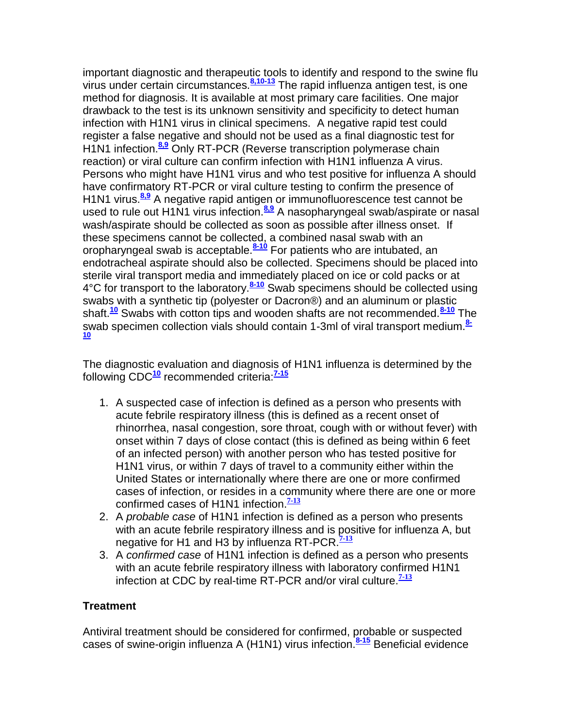important diagnostic and therapeutic tools to identify and respond to the swine flu virus under certain circumstances.**[8,10-13](http://snrs.org/publications/SOJNR_articles2/n)** The rapid influenza antigen test, is one method for diagnosis. It is available at most primary care facilities. One major drawback to the test is its unknown sensitivity and specificity to detect human infection with H1N1 virus in clinical specimens. A negative rapid test could register a false negative and should not be used as a final diagnostic test for H1N1 infection.**[8,9](http://snrs.org/publications/SOJNR_articles2/n)** Only RT-PCR (Reverse transcription polymerase chain reaction) or viral culture can confirm infection with H1N1 influenza A virus. Persons who might have H1N1 virus and who test positive for influenza A should have confirmatory RT-PCR or viral culture testing to confirm the presence of H1N1 virus.**[8,9](http://snrs.org/publications/SOJNR_articles2/n)** A negative rapid antigen or immunofluorescence test cannot be used to rule out H1N1 virus infection.**[8,9](http://snrs.org/publications/SOJNR_articles2/n)** A nasopharyngeal swab/aspirate or nasal wash/aspirate should be collected as soon as possible after illness onset. If these specimens cannot be collected, a combined nasal swab with an oropharyngeal swab is acceptable.**[8-10](http://snrs.org/publications/SOJNR_articles2/n)** For patients who are intubated, an endotracheal aspirate should also be collected. Specimens should be placed into sterile viral transport media and immediately placed on ice or cold packs or at 4°C for transport to the laboratory.**[8-10](http://snrs.org/publications/SOJNR_articles2/n)** Swab specimens should be collected using swabs with a synthetic tip (polyester or Dacron®) and an aluminum or plastic shaft.**[10](http://snrs.org/publications/SOJNR_articles2/n)** Swabs with cotton tips and wooden shafts are not recommended.**[8-10](http://snrs.org/publications/SOJNR_articles2/n)** The swab specimen collection vials should contain 1-3ml of viral transport medium.**[8-](http://snrs.org/publications/SOJNR_articles2/n) [10](http://snrs.org/publications/SOJNR_articles2/n)**

The diagnostic evaluation and diagnosis of H1N1 influenza is determined by the following CDC**[10](http://snrs.org/publications/SOJNR_articles2/n)** recommended criteria:**[7-15](http://snrs.org/publications/SOJNR_articles2/n)**

- 1. A suspected case of infection is defined as a person who presents with acute febrile respiratory illness (this is defined as a recent onset of rhinorrhea, nasal congestion, sore throat, cough with or without fever) with onset within 7 days of close contact (this is defined as being within 6 feet of an infected person) with another person who has tested positive for H1N1 virus, or within 7 days of travel to a community either within the United States or internationally where there are one or more confirmed cases of infection, or resides in a community where there are one or more confirmed cases of H1N1 infection.**[7-13](http://snrs.org/publications/SOJNR_articles2/n)**
- 2. A *probable case* of H1N1 infection is defined as a person who presents with an acute febrile respiratory illness and is positive for influenza A, but negative for H1 and H3 by influenza RT-PCR.**[7-13](http://snrs.org/publications/SOJNR_articles2/n)**
- 3. A *confirmed case* of H1N1 infection is defined as a person who presents with an acute febrile respiratory illness with laboratory confirmed H1N1 infection at CDC by real-time RT-PCR and/or viral culture.**[7-13](http://snrs.org/publications/SOJNR_articles2/n)**

# **Treatment**

Antiviral treatment should be considered for confirmed, probable or suspected cases of swine-origin influenza A (H1N1) virus infection.**[8-15](http://snrs.org/publications/SOJNR_articles2/n)** Beneficial evidence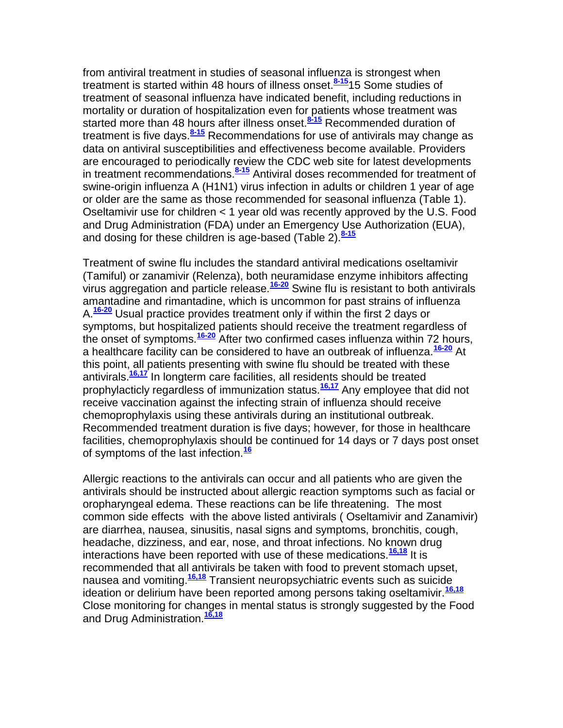from antiviral treatment in studies of seasonal influenza is strongest when treatment is started within 48 hours of illness onset.**[8-15](http://snrs.org/publications/SOJNR_articles2/n)**15 Some studies of treatment of seasonal influenza have indicated benefit, including reductions in mortality or duration of hospitalization even for patients whose treatment was started more than 48 hours after illness onset.**[8-15](http://snrs.org/publications/SOJNR_articles2/n)** Recommended duration of treatment is five days.**[8-15](http://snrs.org/publications/SOJNR_articles2/n)** Recommendations for use of antivirals may change as data on antiviral susceptibilities and effectiveness become available. Providers are encouraged to periodically review the CDC web site for latest developments in treatment recommendations.**[8-15](http://snrs.org/publications/SOJNR_articles2/n)** Antiviral doses recommended for treatment of swine-origin influenza A (H1N1) virus infection in adults or children 1 year of age or older are the same as those recommended for seasonal influenza (Table 1). Oseltamivir use for children < 1 year old was recently approved by the U.S. Food and Drug Administration (FDA) under an Emergency Use Authorization (EUA), and dosing for these children is age-based (Table 2).**[8-15](http://snrs.org/publications/SOJNR_articles2/n)**

Treatment of swine flu includes the standard antiviral medications oseltamivir (Tamiful) or zanamivir (Relenza), both neuramidase enzyme inhibitors affecting virus aggregation and particle release.**[16-20](http://snrs.org/publications/SOJNR_articles2/n)** Swine flu is resistant to both antivirals amantadine and rimantadine, which is uncommon for past strains of influenza A.**[16-20](http://snrs.org/publications/SOJNR_articles2/n)** Usual practice provides treatment only if within the first 2 days or symptoms, but hospitalized patients should receive the treatment regardless of the onset of symptoms.**[16-20](http://snrs.org/publications/SOJNR_articles2/n)** After two confirmed cases influenza within 72 hours, a healthcare facility can be considered to have an outbreak of influenza.**[16-20](http://snrs.org/publications/SOJNR_articles2/n)** At this point, all patients presenting with swine flu should be treated with these antivirals.**[16,17](http://snrs.org/publications/SOJNR_articles2/n)** In longterm care facilities, all residents should be treated prophylacticly regardless of immunization status.**[16,17](http://snrs.org/publications/SOJNR_articles2/n)** Any employee that did not receive vaccination against the infecting strain of influenza should receive chemoprophylaxis using these antivirals during an institutional outbreak. Recommended treatment duration is five days; however, for those in healthcare facilities, chemoprophylaxis should be continued for 14 days or 7 days post onset of symptoms of the last infection.**[16](http://snrs.org/publications/SOJNR_articles2/n)**

Allergic reactions to the antivirals can occur and all patients who are given the antivirals should be instructed about allergic reaction symptoms such as facial or oropharyngeal edema. These reactions can be life threatening. The most common side effects with the above listed antivirals ( Oseltamivir and Zanamivir) are diarrhea, nausea, sinusitis, nasal signs and symptoms, bronchitis, cough, headache, dizziness, and ear, nose, and throat infections. No known drug interactions have been reported with use of these medications.**[16,18](http://snrs.org/publications/SOJNR_articles2/n)** It is recommended that all antivirals be taken with food to prevent stomach upset, nausea and vomiting. **[16,18](http://snrs.org/publications/SOJNR_articles2/n)** Transient neuropsychiatric events such as suicide ideation or delirium have been reported among persons taking oseltamivir.**[16,18](http://snrs.org/publications/SOJNR_articles2/n)** Close monitoring for changes in mental status is strongly suggested by the Food and Drug Administration.**[16,18](http://snrs.org/publications/SOJNR_articles2/n)**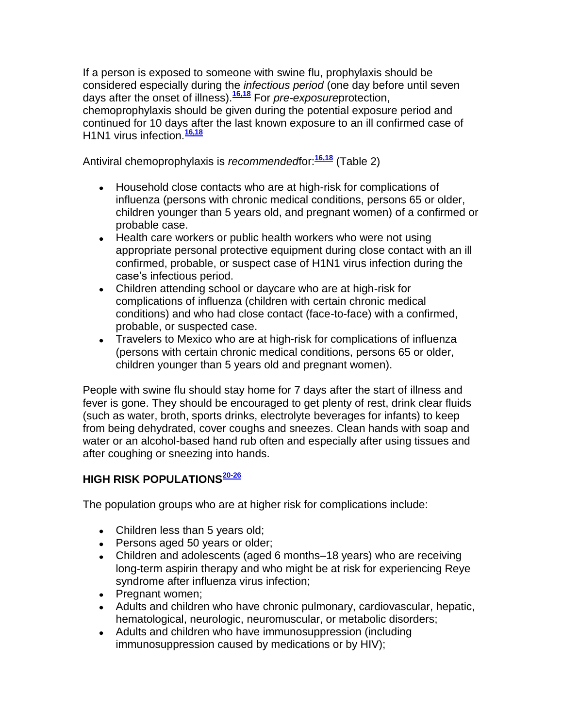If a person is exposed to someone with swine flu, prophylaxis should be considered especially during the *infectious period* (one day before until seven days after the onset of illness).**[16,18](http://snrs.org/publications/SOJNR_articles2/n)** For *pre-exposure*protection, chemoprophylaxis should be given during the potential exposure period and continued for 10 days after the last known exposure to an ill confirmed case of H1N1 virus infection.**[16,18](http://snrs.org/publications/SOJNR_articles2/n)**

Antiviral chemoprophylaxis is *recommended*for:**[16,18](http://snrs.org/publications/SOJNR_articles2/n)** (Table 2)

- Household close contacts who are at high-risk for complications of influenza (persons with chronic medical conditions, persons 65 or older, children younger than 5 years old, and pregnant women) of a confirmed or probable case.
- Health care workers or public health workers who were not using appropriate personal protective equipment during close contact with an ill confirmed, probable, or suspect case of H1N1 virus infection during the case's infectious period.
- Children attending school or daycare who are at high-risk for complications of influenza (children with certain chronic medical conditions) and who had close contact (face-to-face) with a confirmed, probable, or suspected case.
- Travelers to Mexico who are at high-risk for complications of influenza (persons with certain chronic medical conditions, persons 65 or older, children younger than 5 years old and pregnant women).

People with swine flu should stay home for 7 days after the start of illness and fever is gone. They should be encouraged to get plenty of rest, drink clear fluids (such as water, broth, sports drinks, electrolyte beverages for infants) to keep from being dehydrated, cover coughs and sneezes. Clean hands with soap and water or an alcohol-based hand rub often and especially after using tissues and after coughing or sneezing into hands.

# **HIGH RISK POPULATIONS[20-26](http://snrs.org/publications/SOJNR_articles2/n)**

The population groups who are at higher risk for complications include:

- Children less than 5 years old;
- Persons aged 50 years or older;
- Children and adolescents (aged 6 months–18 years) who are receiving long-term aspirin therapy and who might be at risk for experiencing Reye syndrome after influenza virus infection;
- Pregnant women:
- Adults and children who have chronic pulmonary, cardiovascular, hepatic, hematological, neurologic, neuromuscular, or metabolic disorders;
- Adults and children who have immunosuppression (including immunosuppression caused by medications or by HIV);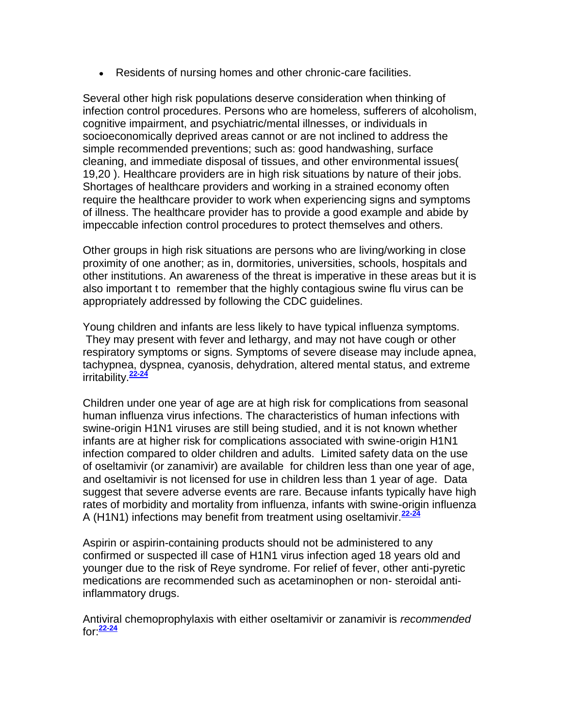Residents of nursing homes and other chronic-care facilities.

Several other high risk populations deserve consideration when thinking of infection control procedures. Persons who are homeless, sufferers of alcoholism, cognitive impairment, and psychiatric/mental illnesses, or individuals in socioeconomically deprived areas cannot or are not inclined to address the simple recommended preventions; such as: good handwashing, surface cleaning, and immediate disposal of tissues, and other environmental issues( 19,20 ). Healthcare providers are in high risk situations by nature of their jobs. Shortages of healthcare providers and working in a strained economy often require the healthcare provider to work when experiencing signs and symptoms of illness. The healthcare provider has to provide a good example and abide by impeccable infection control procedures to protect themselves and others.

Other groups in high risk situations are persons who are living/working in close proximity of one another; as in, dormitories, universities, schools, hospitals and other institutions. An awareness of the threat is imperative in these areas but it is also important t to remember that the highly contagious swine flu virus can be appropriately addressed by following the CDC guidelines.

Young children and infants are less likely to have typical influenza symptoms. They may present with fever and lethargy, and may not have cough or other respiratory symptoms or signs. Symptoms of severe disease may include apnea, tachypnea, dyspnea, cyanosis, dehydration, altered mental status, and extreme irritability.**[22-24](http://snrs.org/publications/SOJNR_articles2/n)** 

Children under one year of age are at high risk for complications from seasonal human influenza virus infections. The characteristics of human infections with swine-origin H1N1 viruses are still being studied, and it is not known whether infants are at higher risk for complications associated with swine-origin H1N1 infection compared to older children and adults. Limited safety data on the use of oseltamivir (or zanamivir) are available for children less than one year of age, and oseltamivir is not licensed for use in children less than 1 year of age. Data suggest that severe adverse events are rare. Because infants typically have high rates of morbidity and mortality from influenza, infants with swine-origin influenza A (H1N1) infections may benefit from treatment using oseltamivir.**[22-24](http://snrs.org/publications/SOJNR_articles2/n)**

Aspirin or aspirin-containing products should not be administered to any confirmed or suspected ill case of H1N1 virus infection aged 18 years old and younger due to the risk of Reye syndrome. For relief of fever, other anti-pyretic medications are recommended such as acetaminophen or non- steroidal antiinflammatory drugs.

Antiviral chemoprophylaxis with either oseltamivir or zanamivir is *recommended* for:**[22-24](http://snrs.org/publications/SOJNR_articles2/n)**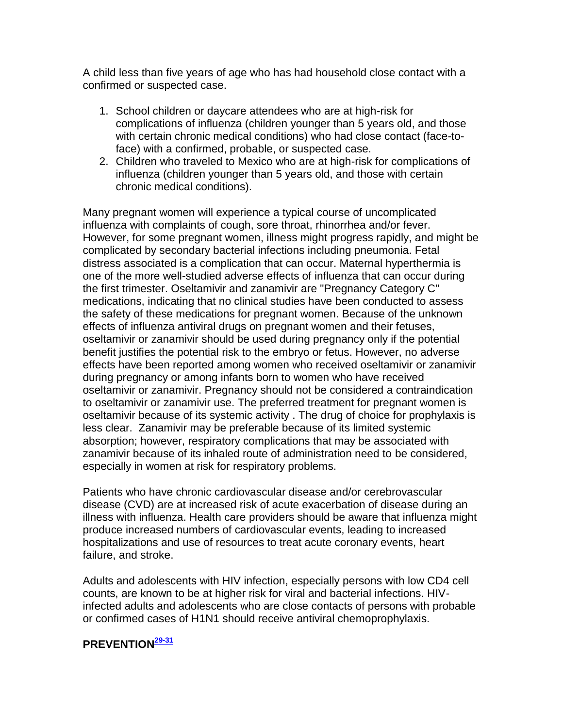A child less than five years of age who has had household close contact with a confirmed or suspected case.

- 1. School children or daycare attendees who are at high-risk for complications of influenza (children younger than 5 years old, and those with certain chronic medical conditions) who had close contact (face-toface) with a confirmed, probable, or suspected case.
- 2. Children who traveled to Mexico who are at high-risk for complications of influenza (children younger than 5 years old, and those with certain chronic medical conditions).

Many pregnant women will experience a typical course of uncomplicated influenza with complaints of cough, sore throat, rhinorrhea and/or fever. However, for some pregnant women, illness might progress rapidly, and might be complicated by secondary bacterial infections including pneumonia. Fetal distress associated is a complication that can occur. Maternal hyperthermia is one of the more well-studied adverse effects of influenza that can occur during the first trimester. Oseltamivir and zanamivir are "Pregnancy Category C" medications, indicating that no clinical studies have been conducted to assess the safety of these medications for pregnant women. Because of the unknown effects of influenza antiviral drugs on pregnant women and their fetuses, oseltamivir or zanamivir should be used during pregnancy only if the potential benefit justifies the potential risk to the embryo or fetus. However, no adverse effects have been reported among women who received oseltamivir or zanamivir during pregnancy or among infants born to women who have received oseltamivir or zanamivir. Pregnancy should not be considered a contraindication to oseltamivir or zanamivir use. The preferred treatment for pregnant women is oseltamivir because of its systemic activity . The drug of choice for prophylaxis is less clear. Zanamivir may be preferable because of its limited systemic absorption; however, respiratory complications that may be associated with zanamivir because of its inhaled route of administration need to be considered, especially in women at risk for respiratory problems.

Patients who have chronic cardiovascular disease and/or cerebrovascular disease (CVD) are at increased risk of acute exacerbation of disease during an illness with influenza. Health care providers should be aware that influenza might produce increased numbers of cardiovascular events, leading to increased hospitalizations and use of resources to treat acute coronary events, heart failure, and stroke.

Adults and adolescents with HIV infection, especially persons with low CD4 cell counts, are known to be at higher risk for viral and bacterial infections. HIVinfected adults and adolescents who are close contacts of persons with probable or confirmed cases of H1N1 should receive antiviral chemoprophylaxis.

# **PREVENTION[29-31](http://snrs.org/publications/SOJNR_articles2/n)**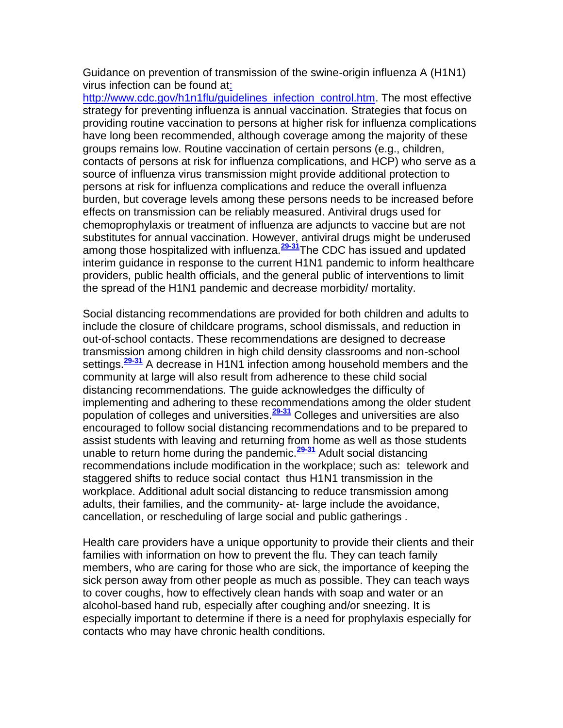Guidance on prevention of transmission of the swine-origin influenza A (H1N1) virus infection can be found a[t:](http://www.cdc.gov/h1n1flu/:%20http:/www.cdc.gov/h1n1flu/guidelines_infection_control.htm) 

[http://www.cdc.gov/h1n1flu/guidelines\\_infection\\_control.htm.](http://www.cdc.gov/h1n1flu/:%20http:/www.cdc.gov/h1n1flu/guidelines_infection_control.htm) The most effective strategy for preventing influenza is annual vaccination. Strategies that focus on providing routine vaccination to persons at higher risk for influenza complications have long been recommended, although coverage among the majority of these groups remains low. Routine vaccination of certain persons (e.g., children, contacts of persons at risk for influenza complications, and HCP) who serve as a source of influenza virus transmission might provide additional protection to persons at risk for influenza complications and reduce the overall influenza burden, but coverage levels among these persons needs to be increased before effects on transmission can be reliably measured. Antiviral drugs used for chemoprophylaxis or treatment of influenza are adjuncts to vaccine but are not substitutes for annual vaccination. However, antiviral drugs might be underused among those hospitalized with influenza.**[29-31](http://snrs.org/publications/SOJNR_articles2/n)**The CDC has issued and updated interim guidance in response to the current H1N1 pandemic to inform healthcare providers, public health officials, and the general public of interventions to limit the spread of the H1N1 pandemic and decrease morbidity/ mortality.

Social distancing recommendations are provided for both children and adults to include the closure of childcare programs, school dismissals, and reduction in out-of-school contacts. These recommendations are designed to decrease transmission among children in high child density classrooms and non-school settings.**[29-31](http://snrs.org/publications/SOJNR_articles2/n)** A decrease in H1N1 infection among household members and the community at large will also result from adherence to these child social distancing recommendations. The guide acknowledges the difficulty of implementing and adhering to these recommendations among the older student population of colleges and universities.**[29-31](http://snrs.org/publications/SOJNR_articles2/n)** Colleges and universities are also encouraged to follow social distancing recommendations and to be prepared to assist students with leaving and returning from home as well as those students unable to return home during the pandemic.**[29-31](http://snrs.org/publications/SOJNR_articles2/n)** Adult social distancing recommendations include modification in the workplace; such as: telework and staggered shifts to reduce social contact thus H1N1 transmission in the workplace. Additional adult social distancing to reduce transmission among adults, their families, and the community- at- large include the avoidance, cancellation, or rescheduling of large social and public gatherings .

Health care providers have a unique opportunity to provide their clients and their families with information on how to prevent the flu. They can teach family members, who are caring for those who are sick, the importance of keeping the sick person away from other people as much as possible. They can teach ways to cover coughs, how to effectively clean hands with soap and water or an alcohol-based hand rub, especially after coughing and/or sneezing. It is especially important to determine if there is a need for prophylaxis especially for contacts who may have chronic health conditions.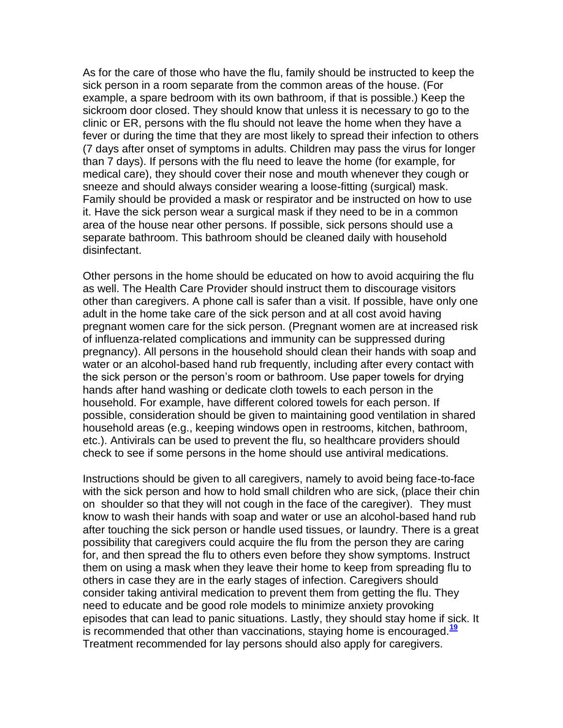As for the care of those who have the flu, family should be instructed to keep the sick person in a room separate from the common areas of the house. (For example, a spare bedroom with its own bathroom, if that is possible.) Keep the sickroom door closed. They should know that unless it is necessary to go to the clinic or ER, persons with the flu should not leave the home when they have a fever or during the time that they are most likely to spread their infection to others (7 days after onset of symptoms in adults. Children may pass the virus for longer than 7 days). If persons with the flu need to leave the home (for example, for medical care), they should cover their nose and mouth whenever they cough or sneeze and should always consider wearing a loose-fitting (surgical) mask. Family should be provided a mask or respirator and be instructed on how to use it. Have the sick person wear a surgical mask if they need to be in a common area of the house near other persons. If possible, sick persons should use a separate bathroom. This bathroom should be cleaned daily with household disinfectant.

Other persons in the home should be educated on how to avoid acquiring the flu as well. The Health Care Provider should instruct them to discourage visitors other than caregivers. A phone call is safer than a visit. If possible, have only one adult in the home take care of the sick person and at all cost avoid having pregnant women care for the sick person. (Pregnant women are at increased risk of influenza-related complications and immunity can be suppressed during pregnancy). All persons in the household should clean their hands with soap and water or an alcohol-based hand rub frequently, including after every contact with the sick person or the person's room or bathroom. Use paper towels for drying hands after hand washing or dedicate cloth towels to each person in the household. For example, have different colored towels for each person. If possible, consideration should be given to maintaining good ventilation in shared household areas (e.g., keeping windows open in restrooms, kitchen, bathroom, etc.). Antivirals can be used to prevent the flu, so healthcare providers should check to see if some persons in the home should use antiviral medications.

Instructions should be given to all caregivers, namely to avoid being face-to-face with the sick person and how to hold small children who are sick, (place their chin on shoulder so that they will not cough in the face of the caregiver). They must know to wash their hands with soap and water or use an alcohol-based hand rub after touching the sick person or handle used tissues, or laundry. There is a great possibility that caregivers could acquire the flu from the person they are caring for, and then spread the flu to others even before they show symptoms. Instruct them on using a mask when they leave their home to keep from spreading flu to others in case they are in the early stages of infection. Caregivers should consider taking antiviral medication to prevent them from getting the flu. They need to educate and be good role models to minimize anxiety provoking episodes that can lead to panic situations. Lastly, they should stay home if sick. It is recommended that other than vaccinations, staying home is encouraged.**[19](http://snrs.org/publications/SOJNR_articles2/n)** Treatment recommended for lay persons should also apply for caregivers.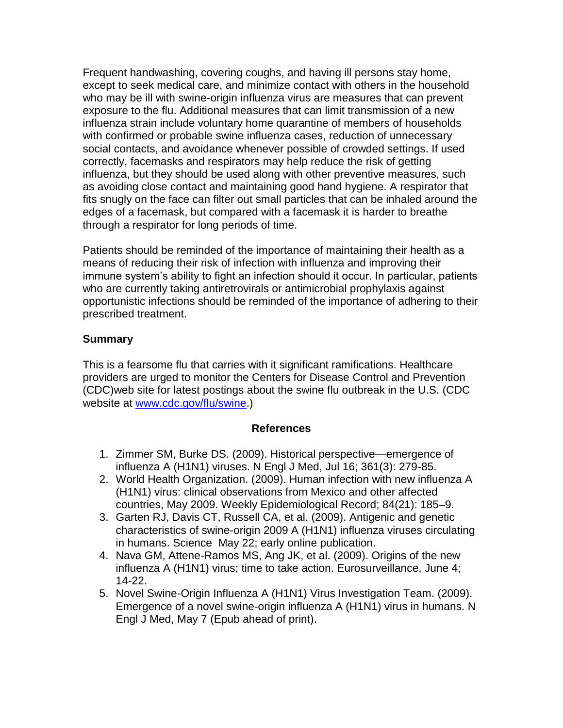Frequent handwashing, covering coughs, and having ill persons stay home, except to seek medical care, and minimize contact with others in the household who may be ill with swine-origin influenza virus are measures that can prevent exposure to the flu. Additional measures that can limit transmission of a new influenza strain include voluntary home quarantine of members of households with confirmed or probable swine influenza cases, reduction of unnecessary social contacts, and avoidance whenever possible of crowded settings. If used correctly, facemasks and respirators may help reduce the risk of getting influenza, but they should be used along with other preventive measures, such as avoiding close contact and maintaining good hand hygiene. A respirator that fits snugly on the face can filter out small particles that can be inhaled around the edges of a facemask, but compared with a facemask it is harder to breathe through a respirator for long periods of time.

Patients should be reminded of the importance of maintaining their health as a means of reducing their risk of infection with influenza and improving their immune system's ability to fight an infection should it occur. In particular, patients who are currently taking antiretrovirals or antimicrobial prophylaxis against opportunistic infections should be reminded of the importance of adhering to their prescribed treatment.

# **Summary**

This is a fearsome flu that carries with it significant ramifications. Healthcare providers are urged to monitor the Centers for Disease Control and Prevention (CDC)web site for latest postings about the swine flu outbreak in the U.S. (CDC website at [www.cdc.gov/flu/swine.](http://snrs.org/publications/SOJNR_articles2/www.cdc.gov/flu/swine))

#### **References**

- 1. Zimmer SM, Burke DS. (2009). Historical perspective—emergence of influenza A (H1N1) viruses. N Engl J Med, Jul 16; 361(3): 279-85.
- 2. World Health Organization. (2009). Human infection with new influenza A (H1N1) virus: clinical observations from Mexico and other affected countries, May 2009. Weekly Epidemiological Record; 84(21): 185–9.
- 3. Garten RJ, Davis CT, Russell CA, et al. (2009). Antigenic and genetic characteristics of swine-origin 2009 A (H1N1) influenza viruses circulating in humans. Science May 22; early online publication.
- 4. Nava GM, Attene-Ramos MS, Ang JK, et al. (2009). Origins of the new influenza A (H1N1) virus; time to take action. Eurosurveillance, June 4; 14-22.
- 5. Novel Swine-Origin Influenza A (H1N1) Virus Investigation Team. (2009). Emergence of a novel swine-origin influenza A (H1N1) virus in humans. N Engl J Med, May 7 (Epub ahead of print).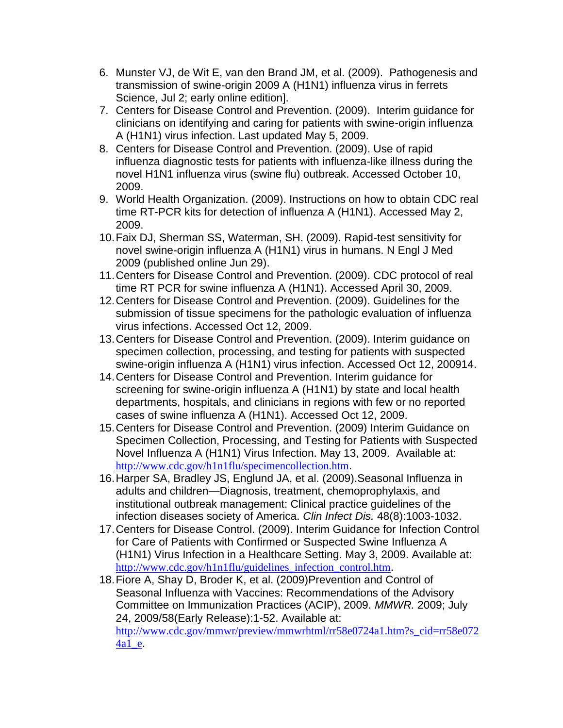- 6. Munster VJ, de Wit E, van den Brand JM, et al. (2009). Pathogenesis and transmission of swine-origin 2009 A (H1N1) influenza virus in ferrets Science, Jul 2; early online edition].
- 7. Centers for Disease Control and Prevention. (2009). Interim guidance for clinicians on identifying and caring for patients with swine-origin influenza A (H1N1) virus infection. Last updated May 5, 2009.
- 8. Centers for Disease Control and Prevention. (2009). Use of rapid influenza diagnostic tests for patients with influenza-like illness during the novel H1N1 influenza virus (swine flu) outbreak. Accessed October 10, 2009.
- 9. World Health Organization. (2009). Instructions on how to obtain CDC real time RT-PCR kits for detection of influenza A (H1N1). Accessed May 2, 2009.
- 10.Faix DJ, Sherman SS, Waterman, SH. (2009). Rapid-test sensitivity for novel swine-origin influenza A (H1N1) virus in humans. N Engl J Med 2009 (published online Jun 29).
- 11.Centers for Disease Control and Prevention. (2009). CDC protocol of real time RT PCR for swine influenza A (H1N1). Accessed April 30, 2009.
- 12.Centers for Disease Control and Prevention. (2009). Guidelines for the submission of tissue specimens for the pathologic evaluation of influenza virus infections. Accessed Oct 12, 2009.
- 13.Centers for Disease Control and Prevention. (2009). Interim guidance on specimen collection, processing, and testing for patients with suspected swine-origin influenza A (H1N1) virus infection. Accessed Oct 12, 200914.
- 14.Centers for Disease Control and Prevention. Interim guidance for screening for swine-origin influenza A (H1N1) by state and local health departments, hospitals, and clinicians in regions with few or no reported cases of swine influenza A (H1N1). Accessed Oct 12, 2009.
- 15.Centers for Disease Control and Prevention. (2009) Interim Guidance on Specimen Collection, Processing, and Testing for Patients with Suspected Novel Influenza A (H1N1) Virus Infection. May 13, 2009. Available at: <http://www.cdc.gov/h1n1flu/specimencollection.htm>.
- 16.Harper SA, Bradley JS, Englund JA, et al. (2009).Seasonal Influenza in adults and children—Diagnosis, treatment, chemoprophylaxis, and institutional outbreak management: Clinical practice guidelines of the infection diseases society of America. *Clin Infect Dis.* 48(8):1003-1032.
- 17.Centers for Disease Control. (2009). Interim Guidance for Infection Control for Care of Patients with Confirmed or Suspected Swine Influenza A (H1N1) Virus Infection in a Healthcare Setting. May 3, 2009. Available at: [http://www.cdc.gov/h1n1flu/guidelines\\_infection\\_control.htm](http://www.cdc.gov/h1n1flu/guidelines_infection_control.htm).
- 18.Fiore A, Shay D, Broder K, et al. (2009)Prevention and Control of Seasonal Influenza with Vaccines: Recommendations of the Advisory Committee on Immunization Practices (ACIP), 2009. *MMWR.* 2009; July 24, 2009/58(Early Release):1-52. Available at: [http://www.cdc.gov/mmwr/preview/mmwrhtml/rr58e0724a1.htm?s\\_cid=rr58e072](http://www.cdc.gov/mmwr/preview/mmwrhtml/rr58e0724a1.htm?s_cid=rr58e0724a1_e)  $4a1$ <sup>e</sup>.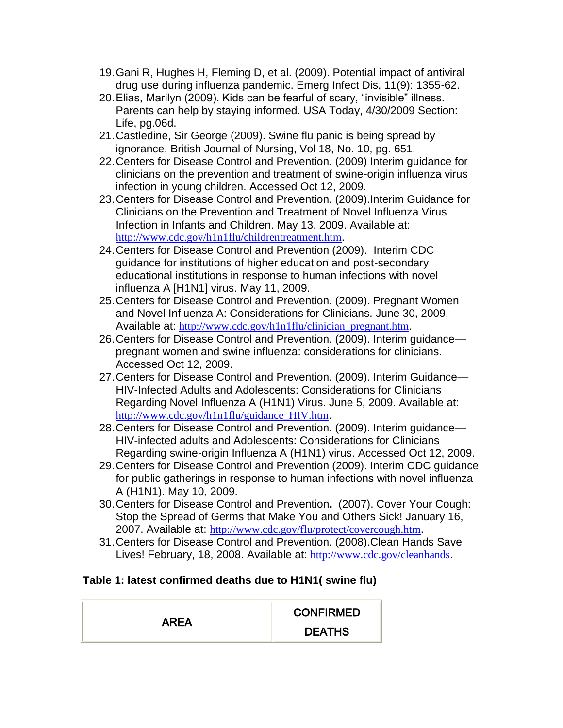- 19.Gani R, Hughes H, Fleming D, et al. (2009). Potential impact of antiviral drug use during influenza pandemic. Emerg Infect Dis, 11(9): 1355-62.
- 20. Elias, Marilyn (2009). Kids can be fearful of scary, "invisible" illness. Parents can help by staying informed. USA Today, 4/30/2009 Section: Life, pg.06d.
- 21.Castledine, Sir George (2009). Swine flu panic is being spread by ignorance. British Journal of Nursing, Vol 18, No. 10, pg. 651.
- 22.Centers for Disease Control and Prevention. (2009) Interim guidance for clinicians on the prevention and treatment of swine-origin influenza virus infection in young children. Accessed Oct 12, 2009.
- 23.Centers for Disease Control and Prevention. (2009).Interim Guidance for Clinicians on the Prevention and Treatment of Novel Influenza Virus Infection in Infants and Children. May 13, 2009. Available at: <http://www.cdc.gov/h1n1flu/childrentreatment.htm>.
- 24.Centers for Disease Control and Prevention (2009). Interim CDC guidance for institutions of higher education and post-secondary educational institutions in response to human infections with novel influenza A [H1N1] virus. May 11, 2009.
- 25.Centers for Disease Control and Prevention. (2009). Pregnant Women and Novel Influenza A: Considerations for Clinicians. June 30, 2009. Available at: [http://www.cdc.gov/h1n1flu/clinician\\_pregnant.htm](http://www.cdc.gov/h1n1flu/clinician_pregnant.htm).
- 26.Centers for Disease Control and Prevention. (2009). Interim guidance pregnant women and swine influenza: considerations for clinicians. Accessed Oct 12, 2009.
- 27.Centers for Disease Control and Prevention. (2009). Interim Guidance— HIV-Infected Adults and Adolescents: Considerations for Clinicians Regarding Novel Influenza A (H1N1) Virus. June 5, 2009. Available at: [http://www.cdc.gov/h1n1flu/guidance\\_HIV.htm](http://www.cdc.gov/h1n1flu/guidance_HIV.htm).
- 28.Centers for Disease Control and Prevention. (2009). Interim guidance— HIV-infected adults and Adolescents: Considerations for Clinicians Regarding swine-origin Influenza A (H1N1) virus. Accessed Oct 12, 2009.
- 29.Centers for Disease Control and Prevention (2009). Interim CDC guidance for public gatherings in response to human infections with novel influenza A (H1N1). May 10, 2009.
- 30.Centers for Disease Control and Prevention**.** (2007). Cover Your Cough: Stop the Spread of Germs that Make You and Others Sick! January 16, 2007. Available at: <http://www.cdc.gov/flu/protect/covercough.htm>.
- 31.Centers for Disease Control and Prevention. (2008).Clean Hands Save Lives! February, 18, 2008. Available at: [http://www.cdc.gov/cleanhands](http://www.cdc.gov/cleanhands/).

# **Table 1: latest confirmed deaths due to H1N1( swine flu)**

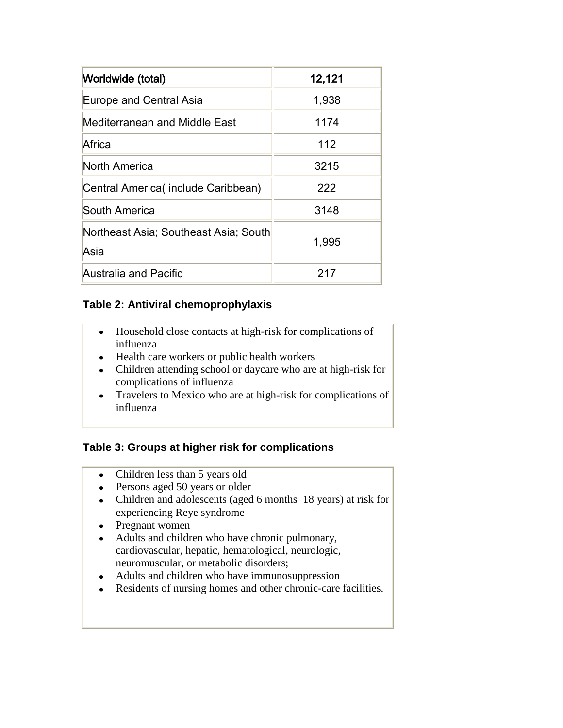| Worldwide (total)                             | 12,121 |
|-----------------------------------------------|--------|
| <b>Europe and Central Asia</b>                | 1,938  |
| Mediterranean and Middle East                 | 1174   |
| Africa                                        | 112    |
| North America                                 | 3215   |
| Central America(include Caribbean)            | 222    |
| South America                                 | 3148   |
| Northeast Asia; Southeast Asia; South<br>Asia | 1,995  |
| Australia and Pacific                         | 217    |

### **Table 2: Antiviral chemoprophylaxis**

- Household close contacts at high-risk for complications of influenza
- Health care workers or public health workers
- Children attending school or daycare who are at high-risk for complications of influenza
- Travelers to Mexico who are at high-risk for complications of influenza

# **Table 3: Groups at higher risk for complications**

- Children less than 5 years old
- Persons aged 50 years or older
- Children and adolescents (aged 6 months–18 years) at risk for experiencing Reye syndrome
- Pregnant women
- Adults and children who have chronic pulmonary, cardiovascular, hepatic, hematological, neurologic, neuromuscular, or metabolic disorders;
- Adults and children who have immunosuppression
- Residents of nursing homes and other chronic-care facilities.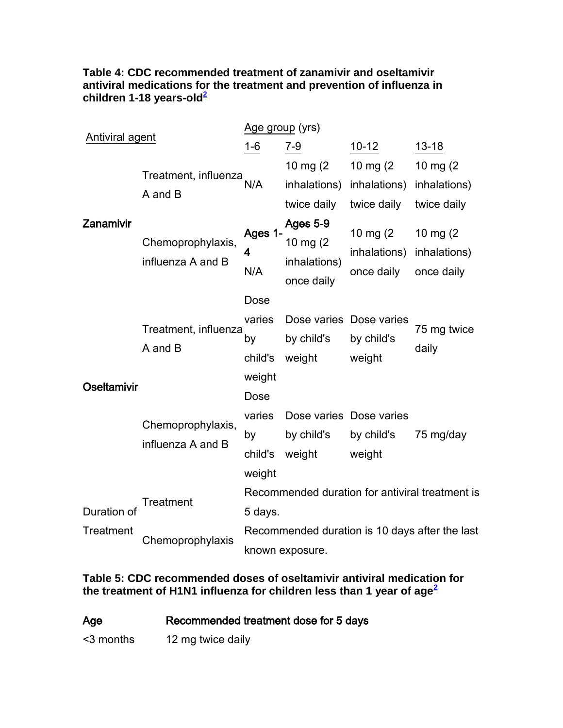### **Table 4: CDC recommended treatment of zanamivir and oseltamivir antiviral medications for the treatment and prevention of influenza in children 1-18 years-ol[d](http://snrs.org/publications/SOJNR_articles2/n)<sup>2</sup>**

| Antiviral agent |                                        | Age group (yrs)                                                   |                                                    |                                         |                                           |
|-----------------|----------------------------------------|-------------------------------------------------------------------|----------------------------------------------------|-----------------------------------------|-------------------------------------------|
|                 |                                        | $1 - 6$                                                           | $7 - 9$                                            | $10 - 12$                               | $13 - 18$                                 |
|                 |                                        |                                                                   | 10 mg $(2)$                                        | 10 mg $(2)$                             | 10 mg $(2)$                               |
|                 | Treatment, influenza<br>A and B        | N/A                                                               | inhalations)                                       | inhalations)                            | inhalations)                              |
|                 |                                        |                                                                   | twice daily                                        | twice daily                             | twice daily                               |
| Zanamivir       | Chemoprophylaxis,<br>influenza A and B | Ages 1-<br>4<br>N/A                                               | Ages 5-9<br>10 mg (2<br>inhalations)<br>once daily | 10 mg (2)<br>inhalations)<br>once daily | 10 mg $(2)$<br>inhalations)<br>once daily |
|                 |                                        | Dose                                                              |                                                    |                                         |                                           |
|                 | Treatment, influenza<br>A and B        | varies<br>by<br>child's<br>weight                                 | Dose varies Dose varies<br>by child's<br>weight    | by child's<br>weight                    | 75 mg twice<br>daily                      |
| Oseltamivir     |                                        | Dose                                                              |                                                    |                                         |                                           |
|                 | Chemoprophylaxis,<br>influenza A and B | varies<br>by<br>child's<br>weight                                 | Dose varies Dose varies<br>by child's<br>weight    | by child's<br>weight                    | 75 mg/day                                 |
|                 |                                        | Recommended duration for antiviral treatment is                   |                                                    |                                         |                                           |
| Duration of     | Treatment                              | 5 days.                                                           |                                                    |                                         |                                           |
| Treatment       | Chemoprophylaxis                       | Recommended duration is 10 days after the last<br>known exposure. |                                                    |                                         |                                           |

**Table 5: CDC recommended doses of oseltamivir antiviral medication for the treatment of H1N1 influenza for children less than 1 year of age[2](http://snrs.org/publications/SOJNR_articles2/n)**

| Recommended treatment dose for 5 days | Age |  |  |  |  |
|---------------------------------------|-----|--|--|--|--|
|---------------------------------------|-----|--|--|--|--|

<3 months 12 mg twice daily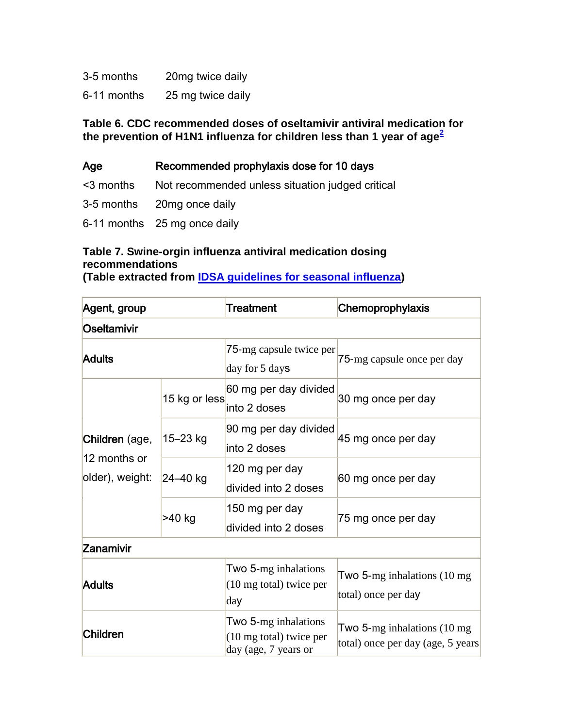| 3-5 months  | 20mg twice daily  |
|-------------|-------------------|
| 6-11 months | 25 mg twice daily |

**Table 6. CDC recommended doses of oseltamivir antiviral medication for the prevention of H1N1 influenza for children less than 1 year of age[2](http://snrs.org/publications/SOJNR_articles2/n)**

| Age | Recommended prophylaxis dose for 10 days |  |  |
|-----|------------------------------------------|--|--|
|     |                                          |  |  |

<3 months Not recommended unless situation judged critical

- 3-5 months 20mg once daily
- 6-11 months 25 mg once daily

# **Table 7. Swine-orgin influenza antiviral medication dosing recommendations**

**(Table extracted from [IDSA guidelines for seasonal influenza\)](http://www.journals.uchicago.edu/doi/full/10.1086/598513)**

| Agent, group                                      |               | Treatment                                                                         | Chemoprophylaxis                                                            |  |
|---------------------------------------------------|---------------|-----------------------------------------------------------------------------------|-----------------------------------------------------------------------------|--|
| Oseltamivir                                       |               |                                                                                   |                                                                             |  |
| <b>Adults</b>                                     |               | 75-mg capsule twice per<br>day for 5 days                                         | 75-mg capsule once per day                                                  |  |
| Children (age,<br>12 months or<br>older), weight: | 15 kg or less | 60 mg per day divided<br>into 2 doses                                             | 30 mg once per day                                                          |  |
|                                                   | 15-23 kg      | 90 mg per day divided<br>linto 2 doses                                            | 45 mg once per day                                                          |  |
|                                                   | $24 - 40$ kg  | 120 mg per day<br>divided into 2 doses                                            | 60 mg once per day                                                          |  |
|                                                   | >40 kg        | 150 mg per day<br>divided into 2 doses                                            | 75 mg once per day                                                          |  |
| Zanamivir                                         |               |                                                                                   |                                                                             |  |
| <b>Adults</b>                                     |               | Two 5-mg inhalations<br>$(10 \text{ mg total})$ twice per<br>day                  | Two $5$ -mg inhalations $(10 \text{ mg})$<br>total) once per day            |  |
| <b>Children</b>                                   |               | Two 5-mg inhalations<br>$(10 \text{ mg total})$ twice per<br>day (age, 7 years or | Two 5-mg inhalations $(10 \text{ mg})$<br>total) once per day (age, 5 years |  |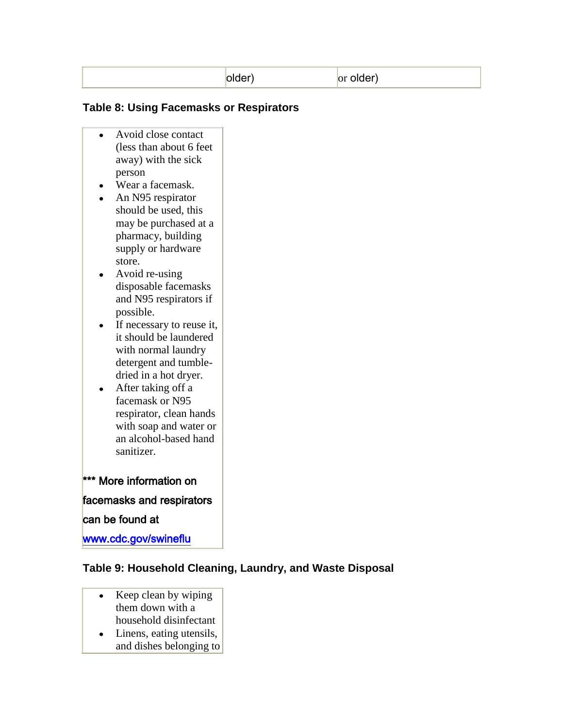|  |  | жнег<br>uuvi | or older |
|--|--|--------------|----------|
|--|--|--------------|----------|

### **Table 8: Using Facemasks or Respirators**

- Avoid close contact (less than about 6 feet away) with the sick person
- Wear a facemask.
- An N95 respirator should be used, this may be purchased at a pharmacy, building supply or hardware store.
- Avoid re-using disposable facemasks and N95 respirators if possible.
- If necessary to reuse it, it should be laundered with normal laundry detergent and tumbledried in a hot dryer.
- After taking off a facemask or N95 respirator, clean hands with soap and water or an alcohol-based hand sanitizer.

### \*\*\* More information on

### facemasks and respirators

### can be found at

[www.cdc.gov/swineflu](http://www.cdc.gov/swineflu) 

### **Table 9: Household Cleaning, Laundry, and Waste Disposal**

- Keep clean by wiping them down with a household disinfectant
- Linens, eating utensils, and dishes belonging to